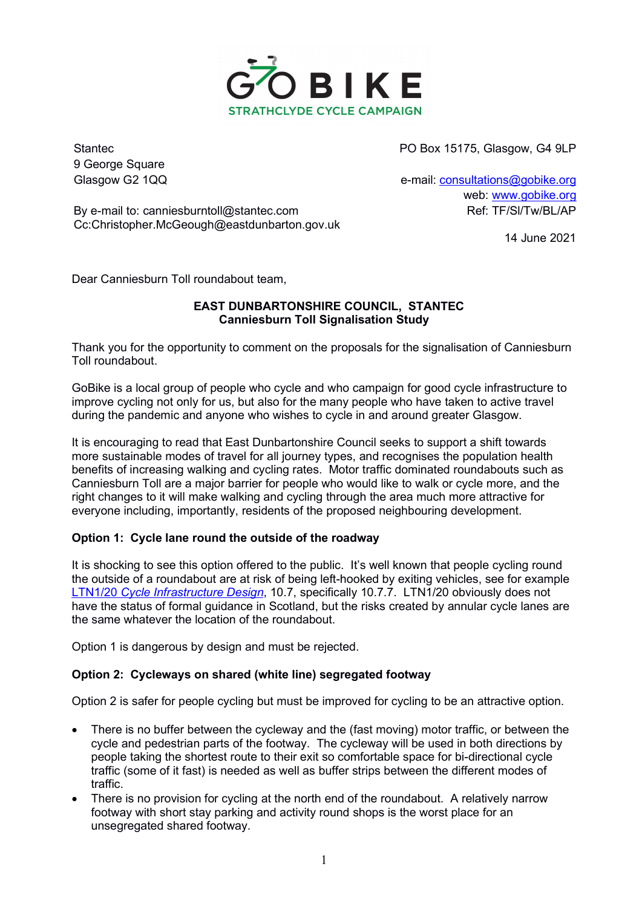

9 George Square

Stantec **PO Box 15175, Glasgow, G4 9LP** 

Glasgow G2 1QQ e-mail: consultations@gobike.org web: www.gobike.org By e-mail to: canniesburntoll@stantec.com Ref: TF/Sl/Tw/BL/AP

Cc:Christopher.McGeough@eastdunbarton.gov.uk

14 June 2021

Dear Canniesburn Toll roundabout team,

## EAST DUNBARTONSHIRE COUNCIL, STANTEC Canniesburn Toll Signalisation Study

Thank you for the opportunity to comment on the proposals for the signalisation of Canniesburn Toll roundabout.

GoBike is a local group of people who cycle and who campaign for good cycle infrastructure to improve cycling not only for us, but also for the many people who have taken to active travel during the pandemic and anyone who wishes to cycle in and around greater Glasgow.

It is encouraging to read that East Dunbartonshire Council seeks to support a shift towards more sustainable modes of travel for all journey types, and recognises the population health benefits of increasing walking and cycling rates. Motor traffic dominated roundabouts such as Canniesburn Toll are a major barrier for people who would like to walk or cycle more, and the right changes to it will make walking and cycling through the area much more attractive for everyone including, importantly, residents of the proposed neighbouring development.

## Option 1: Cycle lane round the outside of the roadway

It is shocking to see this option offered to the public. It's well known that people cycling round the outside of a roundabout are at risk of being left-hooked by exiting vehicles, see for example LTN1/20 Cycle Infrastructure Design, 10.7, specifically 10.7.7. LTN1/20 obviously does not have the status of formal guidance in Scotland, but the risks created by annular cycle lanes are the same whatever the location of the roundabout.

Option 1 is dangerous by design and must be rejected.

## Option 2: Cycleways on shared (white line) segregated footway

Option 2 is safer for people cycling but must be improved for cycling to be an attractive option.

- There is no buffer between the cycleway and the (fast moving) motor traffic, or between the cycle and pedestrian parts of the footway. The cycleway will be used in both directions by people taking the shortest route to their exit so comfortable space for bi-directional cycle traffic (some of it fast) is needed as well as buffer strips between the different modes of traffic.
- There is no provision for cycling at the north end of the roundabout. A relatively narrow footway with short stay parking and activity round shops is the worst place for an unsegregated shared footway.